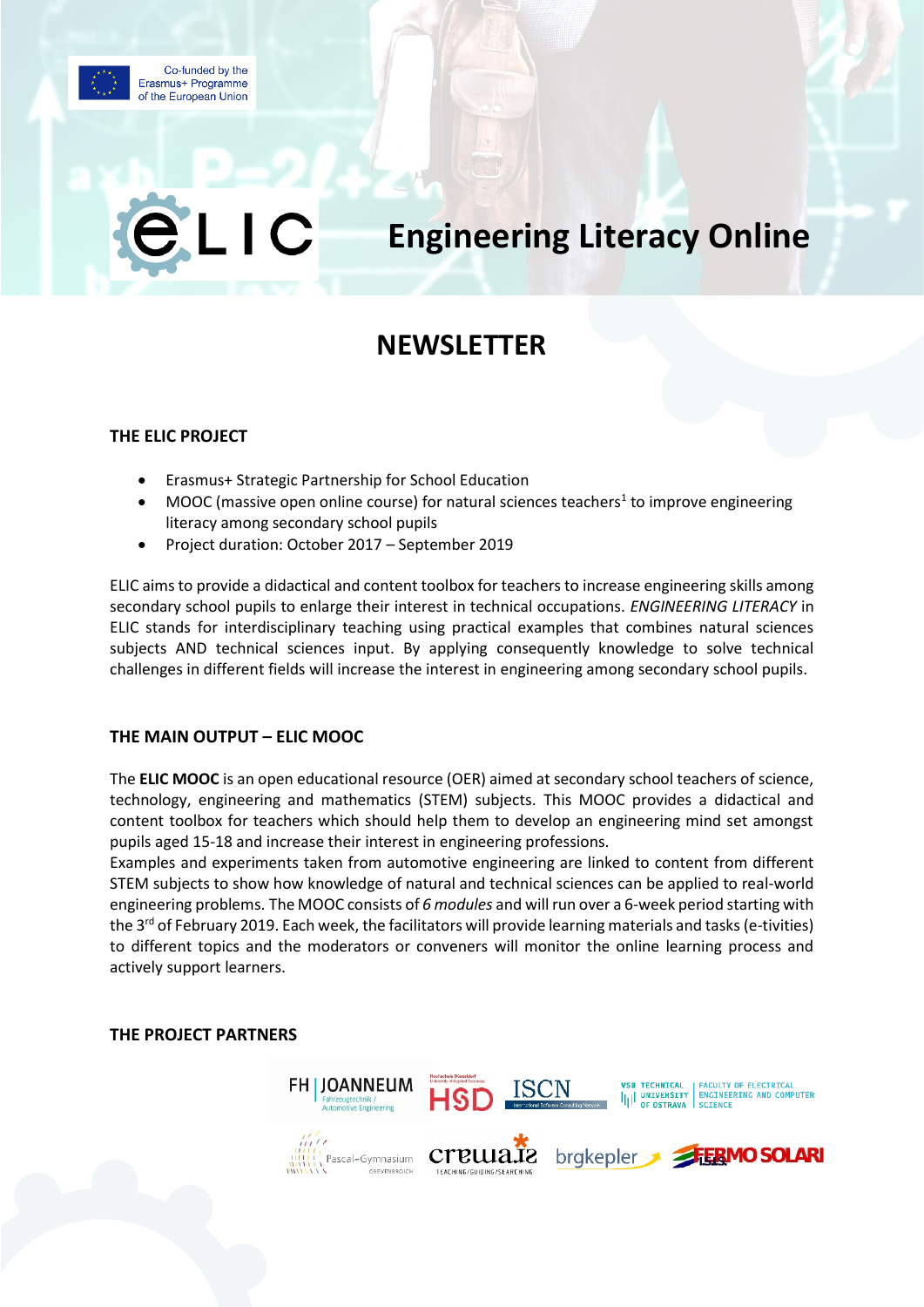

 $\overline{\phantom{a}}$ 

# **Engineering Literacy Online**

## **NEWSLETTER**

#### **THE ELIC PROJECT**

- Erasmus+ Strategic Partnership for School Education
- MOOC (massive open online course) for natural sciences teachers<sup>1</sup> to improve engineering literacy among secondary school pupils
- Project duration: October 2017 September 2019

ELIC aims to provide a didactical and content toolbox for teachers to increase engineering skills among secondary school pupils to enlarge their interest in technical occupations. *ENGINEERING LITERACY* in ELIC stands for interdisciplinary teaching using practical examples that combines natural sciences subjects AND technical sciences input. By applying consequently knowledge to solve technical challenges in different fields will increase the interest in engineering among secondary school pupils.

#### **THE MAIN OUTPUT – ELIC MOOC**

The **ELIC MOOC** is an open educational resource (OER) aimed at secondary school teachers of science, technology, engineering and mathematics (STEM) subjects. This MOOC provides a didactical and content toolbox for teachers which should help them to develop an engineering mind set amongst pupils aged 15-18 and increase their interest in engineering professions.

Examples and experiments taken from automotive engineering are linked to content from different STEM subjects to show how knowledge of natural and technical sciences can be applied to real-world engineering problems. The MOOC consists of *6 modules* and will run over a 6-week period starting with the 3<sup>rd</sup> of February 2019. Each week, the facilitators will provide learning materials and tasks (e-tivities) to different topics and the moderators or conveners will monitor the online learning process and actively support learners.

#### **THE PROJECT PARTNERS**